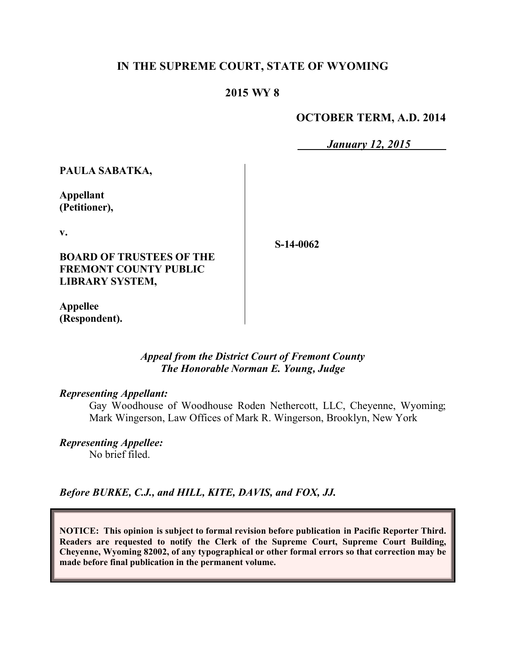# **IN THE SUPREME COURT, STATE OF WYOMING**

# **2015 WY 8**

### **OCTOBER TERM, A.D. 2014**

*January 12, 2015*

**PAULA SABATKA,**

**Appellant (Petitioner),**

**v.**

**BOARD OF TRUSTEES OF THE FREMONT COUNTY PUBLIC LIBRARY SYSTEM,**

**S-14-0062**

**Appellee (Respondent).**

> *Appeal from the District Court of Fremont County The Honorable Norman E. Young, Judge*

### *Representing Appellant:*

Gay Woodhouse of Woodhouse Roden Nethercott, LLC, Cheyenne, Wyoming; Mark Wingerson, Law Offices of Mark R. Wingerson, Brooklyn, New York

*Representing Appellee:* No brief filed.

*Before BURKE, C.J., and HILL, KITE, DAVIS, and FOX, JJ.*

**NOTICE: This opinion is subject to formal revision before publication in Pacific Reporter Third. Readers are requested to notify the Clerk of the Supreme Court, Supreme Court Building, Cheyenne, Wyoming 82002, of any typographical or other formal errors so that correction may be made before final publication in the permanent volume.**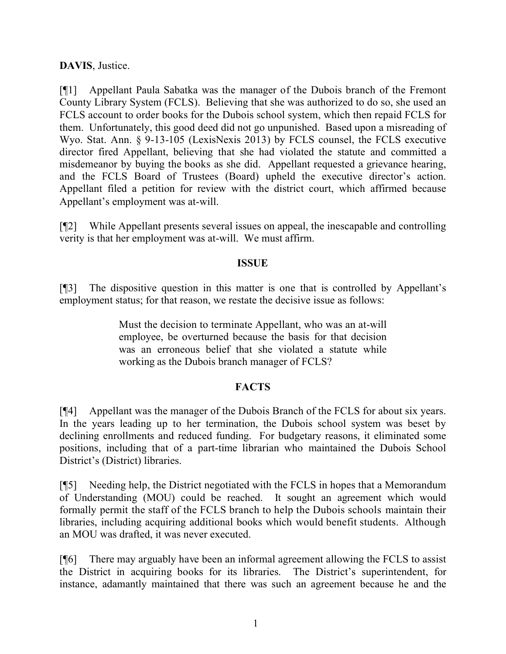# **DAVIS**, Justice.

[¶1] Appellant Paula Sabatka was the manager of the Dubois branch of the Fremont County Library System (FCLS). Believing that she was authorized to do so, she used an FCLS account to order books for the Dubois school system, which then repaid FCLS for them. Unfortunately, this good deed did not go unpunished. Based upon a misreading of Wyo. Stat. Ann. § 9-13-105 (LexisNexis 2013) by FCLS counsel, the FCLS executive director fired Appellant, believing that she had violated the statute and committed a misdemeanor by buying the books as she did. Appellant requested a grievance hearing, and the FCLS Board of Trustees (Board) upheld the executive director's action. Appellant filed a petition for review with the district court, which affirmed because Appellant's employment was at-will.

[¶2] While Appellant presents several issues on appeal, the inescapable and controlling verity is that her employment was at-will. We must affirm.

#### **ISSUE**

[¶3] The dispositive question in this matter is one that is controlled by Appellant's employment status; for that reason, we restate the decisive issue as follows:

> Must the decision to terminate Appellant, who was an at-will employee, be overturned because the basis for that decision was an erroneous belief that she violated a statute while working as the Dubois branch manager of FCLS?

# **FACTS**

[¶4] Appellant was the manager of the Dubois Branch of the FCLS for about six years. In the years leading up to her termination, the Dubois school system was beset by declining enrollments and reduced funding. For budgetary reasons, it eliminated some positions, including that of a part-time librarian who maintained the Dubois School District's (District) libraries.

[¶5] Needing help, the District negotiated with the FCLS in hopes that a Memorandum of Understanding (MOU) could be reached. It sought an agreement which would formally permit the staff of the FCLS branch to help the Dubois schools maintain their libraries, including acquiring additional books which would benefit students. Although an MOU was drafted, it was never executed.

[¶6] There may arguably have been an informal agreement allowing the FCLS to assist the District in acquiring books for its libraries. The District's superintendent, for instance, adamantly maintained that there was such an agreement because he and the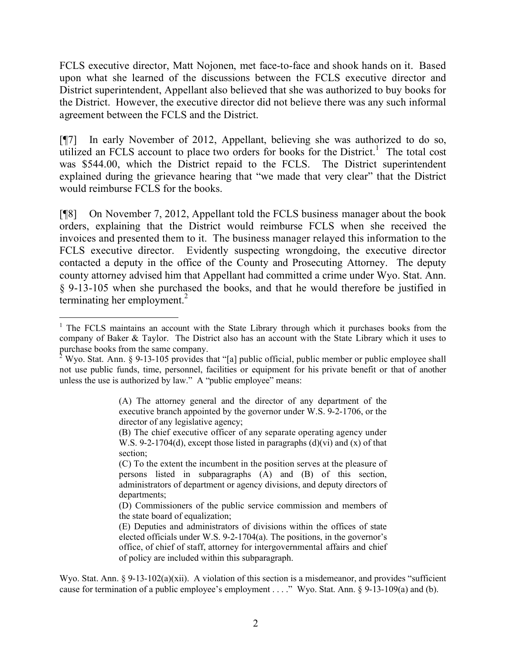FCLS executive director, Matt Nojonen, met face-to-face and shook hands on it. Based upon what she learned of the discussions between the FCLS executive director and District superintendent, Appellant also believed that she was authorized to buy books for the District. However, the executive director did not believe there was any such informal agreement between the FCLS and the District.

[¶7] In early November of 2012, Appellant, believing she was authorized to do so, utilized an FCLS account to place two orders for books for the District.<sup>1</sup> The total cost was \$544.00, which the District repaid to the FCLS. The District superintendent explained during the grievance hearing that "we made that very clear" that the District would reimburse FCLS for the books.

[¶8] On November 7, 2012, Appellant told the FCLS business manager about the book orders, explaining that the District would reimburse FCLS when she received the invoices and presented them to it. The business manager relayed this information to the FCLS executive director. Evidently suspecting wrongdoing, the executive director contacted a deputy in the office of the County and Prosecuting Attorney. The deputy county attorney advised him that Appellant had committed a crime under Wyo. Stat. Ann. § 9-13-105 when she purchased the books, and that he would therefore be justified in terminating her employment. $^{2}$ 

  $1$  The FCLS maintains an account with the State Library through which it purchases books from the company of Baker & Taylor. The District also has an account with the State Library which it uses to purchase books from the same company.

<sup>&</sup>lt;sup>2</sup> Wyo. Stat. Ann. § 9-13-105 provides that "[a] public official, public member or public employee shall not use public funds, time, personnel, facilities or equipment for his private benefit or that of another unless the use is authorized by law." A "public employee" means:

<sup>(</sup>A) The attorney general and the director of any department of the executive branch appointed by the governor under W.S. 9-2-1706, or the director of any legislative agency;

<sup>(</sup>B) The chief executive officer of any separate operating agency under W.S. 9-2-1704(d), except those listed in paragraphs  $(d)(vi)$  and  $(x)$  of that section;

<sup>(</sup>C) To the extent the incumbent in the position serves at the pleasure of persons listed in subparagraphs (A) and (B) of this section, administrators of department or agency divisions, and deputy directors of departments;

<sup>(</sup>D) Commissioners of the public service commission and members of the state board of equalization;

<sup>(</sup>E) Deputies and administrators of divisions within the offices of state elected officials under W.S. 9-2-1704(a). The positions, in the governor's office, of chief of staff, attorney for intergovernmental affairs and chief of policy are included within this subparagraph.

Wyo. Stat. Ann. § 9-13-102(a)(xii). A violation of this section is a misdemeanor, and provides "sufficient" cause for termination of a public employee's employment . . . ." Wyo. Stat. Ann. § 9-13-109(a) and (b).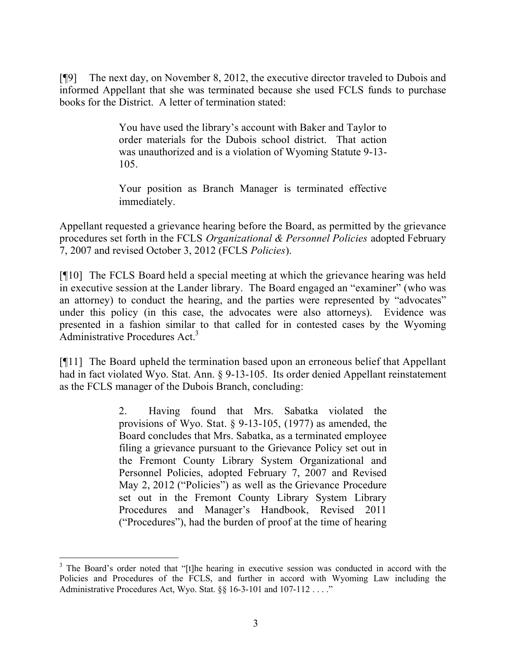[¶9] The next day, on November 8, 2012, the executive director traveled to Dubois and informed Appellant that she was terminated because she used FCLS funds to purchase books for the District. A letter of termination stated:

> You have used the library's account with Baker and Taylor to order materials for the Dubois school district. That action was unauthorized and is a violation of Wyoming Statute 9-13- 105.

> Your position as Branch Manager is terminated effective immediately.

Appellant requested a grievance hearing before the Board, as permitted by the grievance procedures set forth in the FCLS *Organizational & Personnel Policies* adopted February 7, 2007 and revised October 3, 2012 (FCLS *Policies*).

[¶10] The FCLS Board held a special meeting at which the grievance hearing was held in executive session at the Lander library. The Board engaged an "examiner" (who was an attorney) to conduct the hearing, and the parties were represented by "advocates" under this policy (in this case, the advocates were also attorneys). Evidence was presented in a fashion similar to that called for in contested cases by the Wyoming Administrative Procedures Act.<sup>3</sup>

[¶11] The Board upheld the termination based upon an erroneous belief that Appellant had in fact violated Wyo. Stat. Ann. § 9-13-105. Its order denied Appellant reinstatement as the FCLS manager of the Dubois Branch, concluding:

> 2. Having found that Mrs. Sabatka violated the provisions of Wyo. Stat. § 9-13-105, (1977) as amended, the Board concludes that Mrs. Sabatka, as a terminated employee filing a grievance pursuant to the Grievance Policy set out in the Fremont County Library System Organizational and Personnel Policies, adopted February 7, 2007 and Revised May 2, 2012 ("Policies") as well as the Grievance Procedure set out in the Fremont County Library System Library Procedures and Manager's Handbook, Revised 2011 ("Procedures"), had the burden of proof at the time of hearing

<sup>&</sup>lt;sup>3</sup> The Board's order noted that "[t]he hearing in executive session was conducted in accord with the Policies and Procedures of the FCLS, and further in accord with Wyoming Law including the Administrative Procedures Act, Wyo. Stat. §§ 16-3-101 and 107-112 . . . ."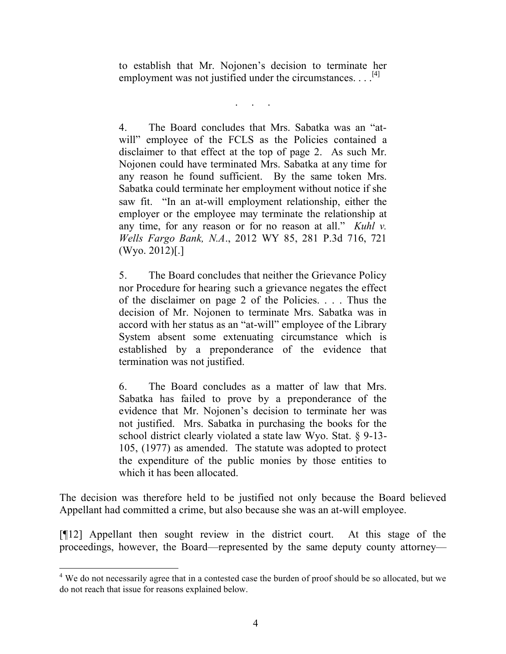to establish that Mr. Nojonen's decision to terminate her employment was not justified under the circumstances.  $\ldots$ <sup>[4]</sup>

. . . . .<br>. . . . . .

4. The Board concludes that Mrs. Sabatka was an "atwill" employee of the FCLS as the Policies contained a disclaimer to that effect at the top of page 2. As such Mr. Nojonen could have terminated Mrs. Sabatka at any time for any reason he found sufficient. By the same token Mrs. Sabatka could terminate her employment without notice if she saw fit. "In an at-will employment relationship, either the employer or the employee may terminate the relationship at any time, for any reason or for no reason at all." *Kuhl v. Wells Fargo Bank, N.A*., 2012 WY 85, 281 P.3d 716, 721 (Wyo. 2012)[.]

5. The Board concludes that neither the Grievance Policy nor Procedure for hearing such a grievance negates the effect of the disclaimer on page 2 of the Policies. . . . Thus the decision of Mr. Nojonen to terminate Mrs. Sabatka was in accord with her status as an "at-will" employee of the Library System absent some extenuating circumstance which is established by a preponderance of the evidence that termination was not justified.

6. The Board concludes as a matter of law that Mrs. Sabatka has failed to prove by a preponderance of the evidence that Mr. Nojonen's decision to terminate her was not justified. Mrs. Sabatka in purchasing the books for the school district clearly violated a state law Wyo. Stat. § 9-13- 105, (1977) as amended. The statute was adopted to protect the expenditure of the public monies by those entities to which it has been allocated.

The decision was therefore held to be justified not only because the Board believed Appellant had committed a crime, but also because she was an at-will employee.

[¶12] Appellant then sought review in the district court. At this stage of the proceedings, however, the Board—represented by the same deputy county attorney—

<sup>&</sup>lt;sup>4</sup> We do not necessarily agree that in a contested case the burden of proof should be so allocated, but we do not reach that issue for reasons explained below.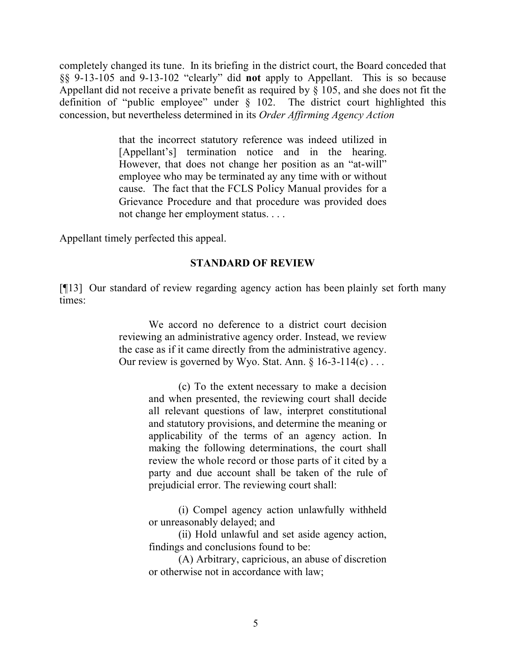completely changed its tune. In its briefing in the district court, the Board conceded that §§ 9-13-105 and 9-13-102 "clearly" did **not** apply to Appellant. This is so because Appellant did not receive a private benefit as required by § 105, and she does not fit the definition of "public employee" under § 102. The district court highlighted this concession, but nevertheless determined in its *Order Affirming Agency Action*

> that the incorrect statutory reference was indeed utilized in [Appellant's] termination notice and in the hearing. However, that does not change her position as an "at-will" employee who may be terminated ay any time with or without cause. The fact that the FCLS Policy Manual provides for a Grievance Procedure and that procedure was provided does not change her employment status. . . .

Appellant timely perfected this appeal.

### **STANDARD OF REVIEW**

[¶13] Our standard of review regarding agency action has been plainly set forth many times:

> We accord no deference to a district court decision reviewing an administrative agency order. Instead, we review the case as if it came directly from the administrative agency. Our review is governed by Wyo. Stat. Ann.  $\S$  16-3-114(c)...

> > (c) To the extent necessary to make a decision and when presented, the reviewing court shall decide all relevant questions of law, interpret constitutional and statutory provisions, and determine the meaning or applicability of the terms of an agency action. In making the following determinations, the court shall review the whole record or those parts of it cited by a party and due account shall be taken of the rule of prejudicial error. The reviewing court shall:

> > (i) Compel agency action unlawfully withheld or unreasonably delayed; and

> > (ii) Hold unlawful and set aside agency action, findings and conclusions found to be:

> > (A) Arbitrary, capricious, an abuse of discretion or otherwise not in accordance with law;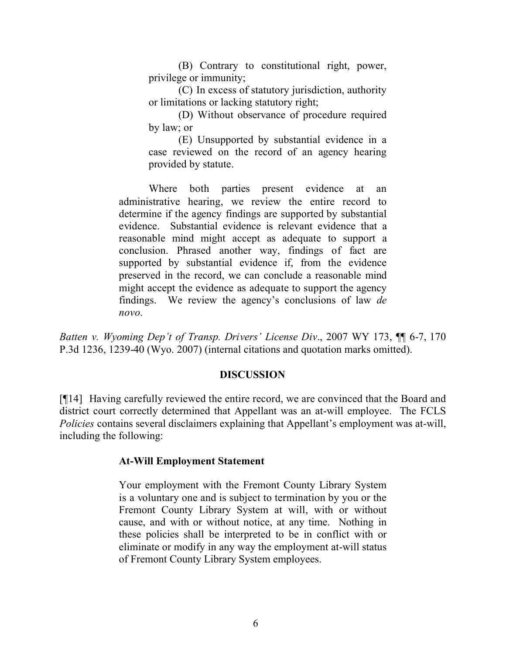(B) Contrary to constitutional right, power, privilege or immunity;

(C) In excess of statutory jurisdiction, authority or limitations or lacking statutory right;

(D) Without observance of procedure required by law; or

(E) Unsupported by substantial evidence in a case reviewed on the record of an agency hearing provided by statute.

Where both parties present evidence at an administrative hearing, we review the entire record to determine if the agency findings are supported by substantial evidence. Substantial evidence is relevant evidence that a reasonable mind might accept as adequate to support a conclusion. Phrased another way, findings of fact are supported by substantial evidence if, from the evidence preserved in the record, we can conclude a reasonable mind might accept the evidence as adequate to support the agency findings. We review the agency's conclusions of law *de novo*.

*Batten v. Wyoming Dep't of Transp. Drivers' License Div*., 2007 WY 173, ¶¶ 6-7, 170 P.3d 1236, 1239-40 (Wyo. 2007) (internal citations and quotation marks omitted).

### **DISCUSSION**

[¶14] Having carefully reviewed the entire record, we are convinced that the Board and district court correctly determined that Appellant was an at-will employee. The FCLS *Policies* contains several disclaimers explaining that Appellant's employment was at-will, including the following:

# **At-Will Employment Statement**

Your employment with the Fremont County Library System is a voluntary one and is subject to termination by you or the Fremont County Library System at will, with or without cause, and with or without notice, at any time. Nothing in these policies shall be interpreted to be in conflict with or eliminate or modify in any way the employment at-will status of Fremont County Library System employees.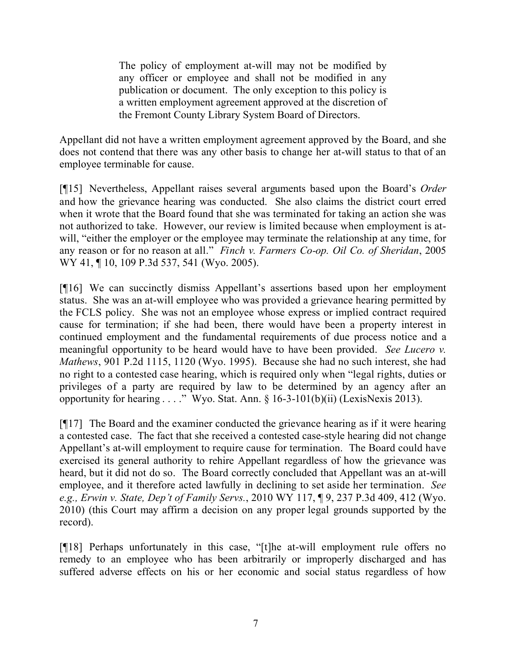The policy of employment at-will may not be modified by any officer or employee and shall not be modified in any publication or document. The only exception to this policy is a written employment agreement approved at the discretion of the Fremont County Library System Board of Directors.

Appellant did not have a written employment agreement approved by the Board, and she does not contend that there was any other basis to change her at-will status to that of an employee terminable for cause.

[¶15] Nevertheless, Appellant raises several arguments based upon the Board's *Order* and how the grievance hearing was conducted. She also claims the district court erred when it wrote that the Board found that she was terminated for taking an action she was not authorized to take. However, our review is limited because when employment is atwill, "either the employer or the employee may terminate the relationship at any time, for any reason or for no reason at all." *Finch v. Farmers Co-op. Oil Co. of Sheridan*, 2005 WY 41, ¶ 10, 109 P.3d 537, 541 (Wyo. 2005).

[¶16] We can succinctly dismiss Appellant's assertions based upon her employment status. She was an at-will employee who was provided a grievance hearing permitted by the FCLS policy. She was not an employee whose express or implied contract required cause for termination; if she had been, there would have been a property interest in continued employment and the fundamental requirements of due process notice and a meaningful opportunity to be heard would have to have been provided. *See Lucero v. Mathews*, 901 P.2d 1115, 1120 (Wyo. 1995). Because she had no such interest, she had no right to a contested case hearing, which is required only when "legal rights, duties or privileges of a party are required by law to be determined by an agency after an opportunity for hearing . . . ." Wyo. Stat. Ann. § 16-3-101(b)(ii) (LexisNexis 2013).

[¶17] The Board and the examiner conducted the grievance hearing as if it were hearing a contested case. The fact that she received a contested case-style hearing did not change Appellant's at-will employment to require cause for termination. The Board could have exercised its general authority to rehire Appellant regardless of how the grievance was heard, but it did not do so. The Board correctly concluded that Appellant was an at-will employee, and it therefore acted lawfully in declining to set aside her termination. *See e.g., Erwin v. State, Dep't of Family Servs.*, 2010 WY 117, ¶ 9, 237 P.3d 409, 412 (Wyo. 2010) (this Court may affirm a decision on any proper legal grounds supported by the record).

[¶18] Perhaps unfortunately in this case, "[t]he at-will employment rule offers no remedy to an employee who has been arbitrarily or improperly discharged and has suffered adverse effects on his or her economic and social status regardless of how